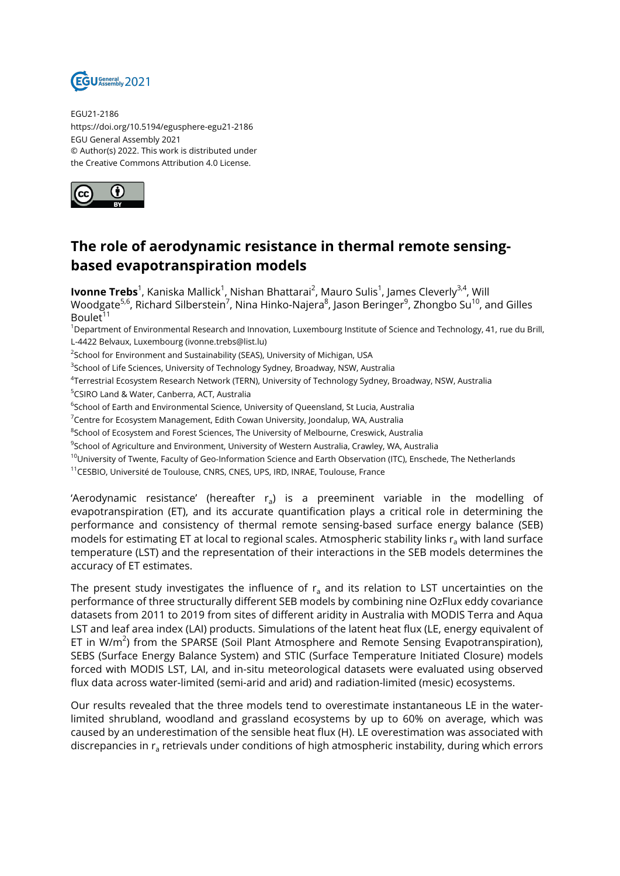

EGU21-2186 https://doi.org/10.5194/egusphere-egu21-2186 EGU General Assembly 2021 © Author(s) 2022. This work is distributed under the Creative Commons Attribution 4.0 License.



## **The role of aerodynamic resistance in thermal remote sensingbased evapotranspiration models**

**lvonne Trebs**<sup>1</sup>, Kaniska Mallick<sup>1</sup>, Nishan Bhattarai<sup>2</sup>, Mauro Sulis<sup>1</sup>, James Cleverly<sup>3,4</sup>, Will Woodgate<sup>5,6</sup>, Richard Silberstein<sup>7</sup>, Nina Hinko-Najera<sup>8</sup>, Jason Beringer<sup>9</sup>, Zhongbo Su<sup>10</sup>, and Gilles Boulet $1$ <sup>1</sup>

<sup>1</sup>Department of Environmental Research and Innovation, Luxembourg Institute of Science and Technology, 41, rue du Brill, L-4422 Belvaux, Luxembourg (ivonne.trebs@list.lu)

 $^{2}$ School for Environment and Sustainability (SEAS), University of Michigan, USA

 $^3$ School of Life Sciences, University of Technology Sydney, Broadway, NSW, Australia

4 Terrestrial Ecosystem Research Network (TERN), University of Technology Sydney, Broadway, NSW, Australia

<sup>5</sup>CSIRO Land & Water, Canberra, ACT, Australia

 $^6$ School of Earth and Environmental Science, University of Queensland, St Lucia, Australia

<sup>7</sup>Centre for Ecosystem Management, Edith Cowan University, Joondalup, WA, Australia

 $\rm ^{8}$ School of Ecosystem and Forest Sciences, The University of Melbourne, Creswick, Australia

<sup>9</sup>School of Agriculture and Environment, University of Western Australia, Crawley, WA, Australia

<sup>10</sup>University of Twente, Faculty of Geo-Information Science and Earth Observation (ITC), Enschede, The Netherlands

<sup>11</sup>CESBIO, Université de Toulouse, CNRS, CNES, UPS, IRD, INRAE, Toulouse, France

'Aerodynamic resistance' (hereafter r<sub>a</sub>) is a preeminent variable in the modelling of evapotranspiration (ET), and its accurate quantification plays a critical role in determining the performance and consistency of thermal remote sensing-based surface energy balance (SEB) models for estimating ET at local to regional scales. Atmospheric stability links  $r_a$  with land surface temperature (LST) and the representation of their interactions in the SEB models determines the accuracy of ET estimates.

The present study investigates the influence of  $r_a$  and its relation to LST uncertainties on the performance of three structurally different SEB models by combining nine OzFlux eddy covariance datasets from 2011 to 2019 from sites of different aridity in Australia with MODIS Terra and Aqua LST and leaf area index (LAI) products. Simulations of the latent heat flux (LE, energy equivalent of ET in W/m<sup>2</sup>) from the SPARSE (Soil Plant Atmosphere and Remote Sensing Evapotranspiration), SEBS (Surface Energy Balance System) and STIC (Surface Temperature Initiated Closure) models forced with MODIS LST, LAI, and in-situ meteorological datasets were evaluated using observed flux data across water-limited (semi-arid and arid) and radiation-limited (mesic) ecosystems.

Our results revealed that the three models tend to overestimate instantaneous LE in the waterlimited shrubland, woodland and grassland ecosystems by up to 60% on average, which was caused by an underestimation of the sensible heat flux (H). LE overestimation was associated with discrepancies in r<sub>a</sub> retrievals under conditions of high atmospheric instability, during which errors